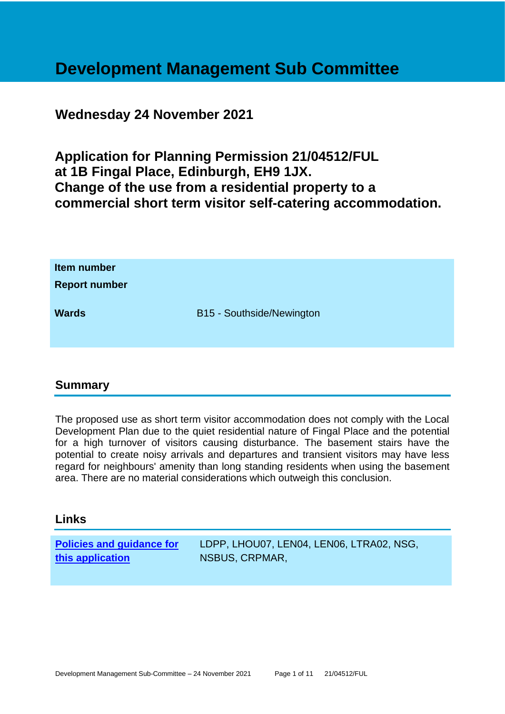# **Development Management Sub Committee**

# **Wednesday 24 November 2021**

**Application for Planning Permission 21/04512/FUL at 1B Fingal Place, Edinburgh, EH9 1JX. Change of the use from a residential property to a commercial short term visitor self-catering accommodation.**

| Item number<br><b>Report number</b> |                           |
|-------------------------------------|---------------------------|
| <b>Wards</b>                        | B15 - Southside/Newington |

#### **Summary**

The proposed use as short term visitor accommodation does not comply with the Local Development Plan due to the quiet residential nature of Fingal Place and the potential for a high turnover of visitors causing disturbance. The basement stairs have the potential to create noisy arrivals and departures and transient visitors may have less regard for neighbours' amenity than long standing residents when using the basement area. There are no material considerations which outweigh this conclusion.

#### **Links**

| <b>Policies and guidance for</b> | LDPP, LHOU07, LEN04, LEN06, LTRA02, NSG, |
|----------------------------------|------------------------------------------|
| this application                 | NSBUS, CRPMAR,                           |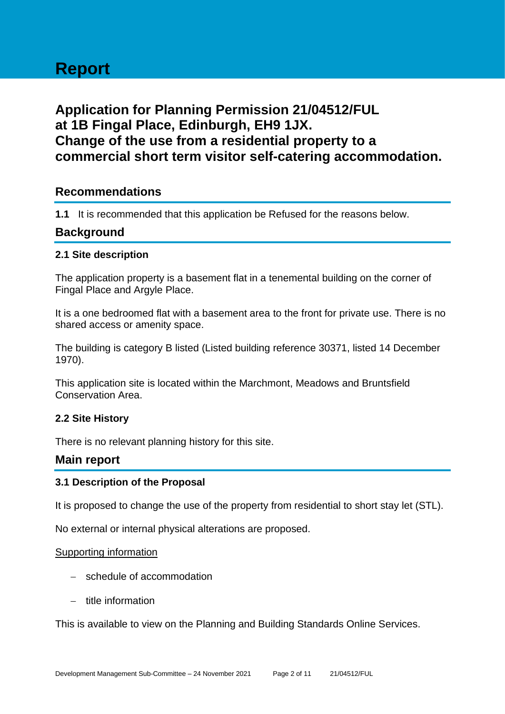# **Report**

# **Application for Planning Permission 21/04512/FUL at 1B Fingal Place, Edinburgh, EH9 1JX. Change of the use from a residential property to a commercial short term visitor self-catering accommodation.**

## **Recommendations**

**1.1** It is recommended that this application be Refused for the reasons below.

#### **Background**

#### **2.1 Site description**

The application property is a basement flat in a tenemental building on the corner of Fingal Place and Argyle Place.

It is a one bedroomed flat with a basement area to the front for private use. There is no shared access or amenity space.

The building is category B listed (Listed building reference 30371, listed 14 December 1970).

This application site is located within the Marchmont, Meadows and Bruntsfield Conservation Area.

#### **2.2 Site History**

There is no relevant planning history for this site.

#### **Main report**

#### **3.1 Description of the Proposal**

It is proposed to change the use of the property from residential to short stay let (STL).

No external or internal physical alterations are proposed.

#### Supporting information

- − schedule of accommodation
- − title information

This is available to view on the Planning and Building Standards Online Services.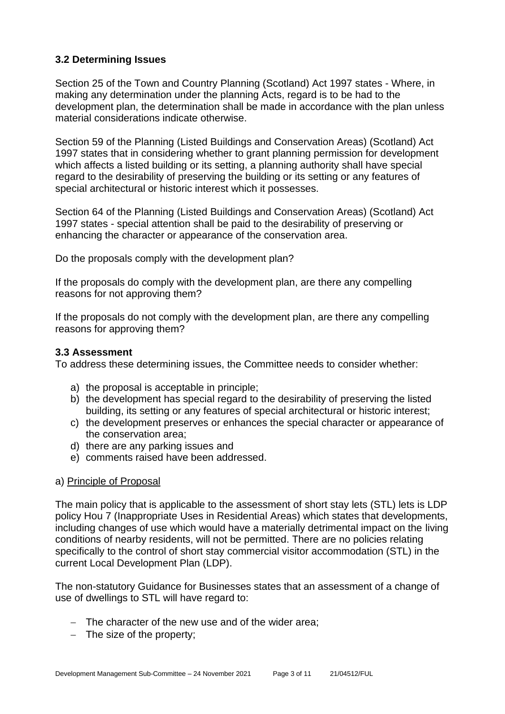#### **3.2 Determining Issues**

Section 25 of the Town and Country Planning (Scotland) Act 1997 states - Where, in making any determination under the planning Acts, regard is to be had to the development plan, the determination shall be made in accordance with the plan unless material considerations indicate otherwise.

Section 59 of the Planning (Listed Buildings and Conservation Areas) (Scotland) Act 1997 states that in considering whether to grant planning permission for development which affects a listed building or its setting, a planning authority shall have special regard to the desirability of preserving the building or its setting or any features of special architectural or historic interest which it possesses.

Section 64 of the Planning (Listed Buildings and Conservation Areas) (Scotland) Act 1997 states - special attention shall be paid to the desirability of preserving or enhancing the character or appearance of the conservation area.

Do the proposals comply with the development plan?

If the proposals do comply with the development plan, are there any compelling reasons for not approving them?

If the proposals do not comply with the development plan, are there any compelling reasons for approving them?

#### **3.3 Assessment**

To address these determining issues, the Committee needs to consider whether:

- a) the proposal is acceptable in principle;
- b) the development has special regard to the desirability of preserving the listed building, its setting or any features of special architectural or historic interest;
- c) the development preserves or enhances the special character or appearance of the conservation area;
- d) there are any parking issues and
- e) comments raised have been addressed.

#### a) Principle of Proposal

The main policy that is applicable to the assessment of short stay lets (STL) lets is LDP policy Hou 7 (Inappropriate Uses in Residential Areas) which states that developments, including changes of use which would have a materially detrimental impact on the living conditions of nearby residents, will not be permitted. There are no policies relating specifically to the control of short stay commercial visitor accommodation (STL) in the current Local Development Plan (LDP).

The non-statutory Guidance for Businesses states that an assessment of a change of use of dwellings to STL will have regard to:

- − The character of the new use and of the wider area;
- − The size of the property;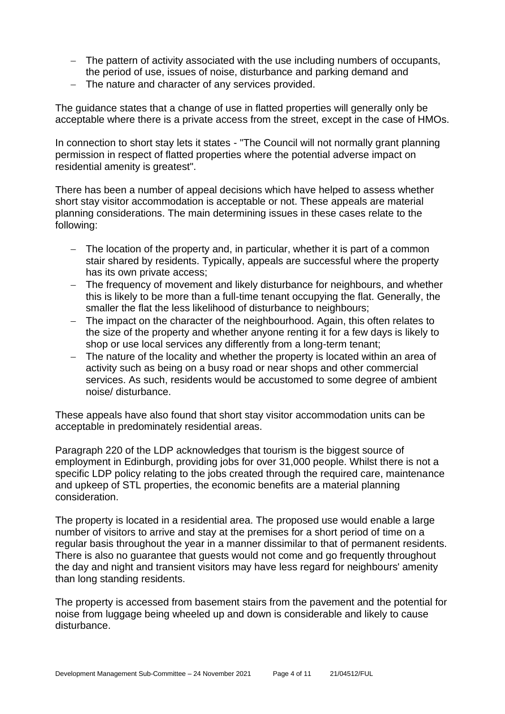- − The pattern of activity associated with the use including numbers of occupants, the period of use, issues of noise, disturbance and parking demand and
- − The nature and character of any services provided.

The guidance states that a change of use in flatted properties will generally only be acceptable where there is a private access from the street, except in the case of HMOs.

In connection to short stay lets it states - "The Council will not normally grant planning permission in respect of flatted properties where the potential adverse impact on residential amenity is greatest".

There has been a number of appeal decisions which have helped to assess whether short stay visitor accommodation is acceptable or not. These appeals are material planning considerations. The main determining issues in these cases relate to the following:

- − The location of the property and, in particular, whether it is part of a common stair shared by residents. Typically, appeals are successful where the property has its own private access;
- The frequency of movement and likely disturbance for neighbours, and whether this is likely to be more than a full-time tenant occupying the flat. Generally, the smaller the flat the less likelihood of disturbance to neighbours;
- − The impact on the character of the neighbourhood. Again, this often relates to the size of the property and whether anyone renting it for a few days is likely to shop or use local services any differently from a long-term tenant;
- − The nature of the locality and whether the property is located within an area of activity such as being on a busy road or near shops and other commercial services. As such, residents would be accustomed to some degree of ambient noise/ disturbance.

These appeals have also found that short stay visitor accommodation units can be acceptable in predominately residential areas.

Paragraph 220 of the LDP acknowledges that tourism is the biggest source of employment in Edinburgh, providing jobs for over 31,000 people. Whilst there is not a specific LDP policy relating to the jobs created through the required care, maintenance and upkeep of STL properties, the economic benefits are a material planning consideration.

The property is located in a residential area. The proposed use would enable a large number of visitors to arrive and stay at the premises for a short period of time on a regular basis throughout the year in a manner dissimilar to that of permanent residents. There is also no guarantee that guests would not come and go frequently throughout the day and night and transient visitors may have less regard for neighbours' amenity than long standing residents.

The property is accessed from basement stairs from the pavement and the potential for noise from luggage being wheeled up and down is considerable and likely to cause disturbance.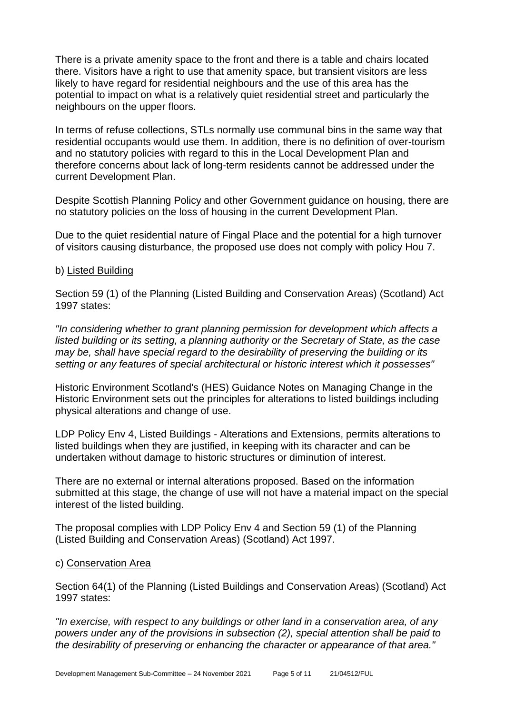There is a private amenity space to the front and there is a table and chairs located there. Visitors have a right to use that amenity space, but transient visitors are less likely to have regard for residential neighbours and the use of this area has the potential to impact on what is a relatively quiet residential street and particularly the neighbours on the upper floors.

In terms of refuse collections, STLs normally use communal bins in the same way that residential occupants would use them. In addition, there is no definition of over-tourism and no statutory policies with regard to this in the Local Development Plan and therefore concerns about lack of long-term residents cannot be addressed under the current Development Plan.

Despite Scottish Planning Policy and other Government guidance on housing, there are no statutory policies on the loss of housing in the current Development Plan.

Due to the quiet residential nature of Fingal Place and the potential for a high turnover of visitors causing disturbance, the proposed use does not comply with policy Hou 7.

#### b) Listed Building

Section 59 (1) of the Planning (Listed Building and Conservation Areas) (Scotland) Act 1997 states:

*"In considering whether to grant planning permission for development which affects a listed building or its setting, a planning authority or the Secretary of State, as the case may be, shall have special regard to the desirability of preserving the building or its setting or any features of special architectural or historic interest which it possesses"*

Historic Environment Scotland's (HES) Guidance Notes on Managing Change in the Historic Environment sets out the principles for alterations to listed buildings including physical alterations and change of use.

LDP Policy Env 4, Listed Buildings - Alterations and Extensions, permits alterations to listed buildings when they are justified, in keeping with its character and can be undertaken without damage to historic structures or diminution of interest.

There are no external or internal alterations proposed. Based on the information submitted at this stage, the change of use will not have a material impact on the special interest of the listed building.

The proposal complies with LDP Policy Env 4 and Section 59 (1) of the Planning (Listed Building and Conservation Areas) (Scotland) Act 1997.

#### c) Conservation Area

Section 64(1) of the Planning (Listed Buildings and Conservation Areas) (Scotland) Act 1997 states:

*"In exercise, with respect to any buildings or other land in a conservation area, of any powers under any of the provisions in subsection (2), special attention shall be paid to the desirability of preserving or enhancing the character or appearance of that area."*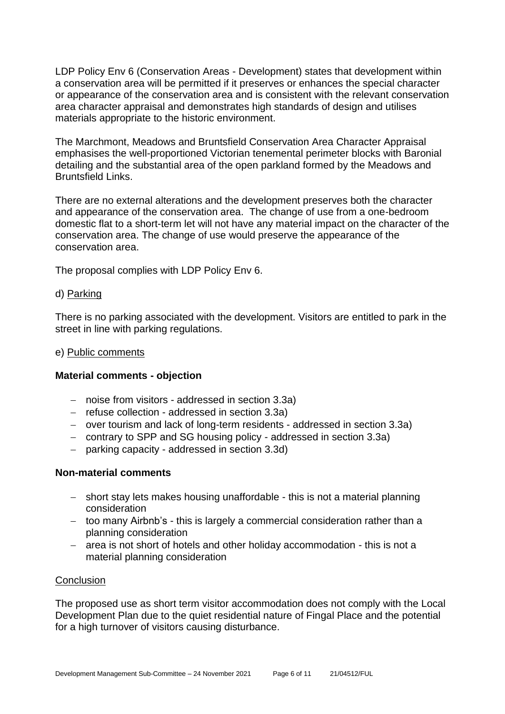LDP Policy Env 6 (Conservation Areas - Development) states that development within a conservation area will be permitted if it preserves or enhances the special character or appearance of the conservation area and is consistent with the relevant conservation area character appraisal and demonstrates high standards of design and utilises materials appropriate to the historic environment.

The Marchmont, Meadows and Bruntsfield Conservation Area Character Appraisal emphasises the well-proportioned Victorian tenemental perimeter blocks with Baronial detailing and the substantial area of the open parkland formed by the Meadows and Bruntsfield Links.

There are no external alterations and the development preserves both the character and appearance of the conservation area. The change of use from a one-bedroom domestic flat to a short-term let will not have any material impact on the character of the conservation area. The change of use would preserve the appearance of the conservation area.

The proposal complies with LDP Policy Env 6.

#### d) Parking

There is no parking associated with the development. Visitors are entitled to park in the street in line with parking regulations.

#### e) Public comments

#### **Material comments - objection**

- − noise from visitors addressed in section 3.3a)
- − refuse collection addressed in section 3.3a)
- − over tourism and lack of long-term residents addressed in section 3.3a)
- − contrary to SPP and SG housing policy addressed in section 3.3a)
- − parking capacity addressed in section 3.3d)

#### **Non-material comments**

- − short stay lets makes housing unaffordable this is not a material planning consideration
- − too many Airbnb's this is largely a commercial consideration rather than a planning consideration
- − area is not short of hotels and other holiday accommodation this is not a material planning consideration

#### **Conclusion**

The proposed use as short term visitor accommodation does not comply with the Local Development Plan due to the quiet residential nature of Fingal Place and the potential for a high turnover of visitors causing disturbance.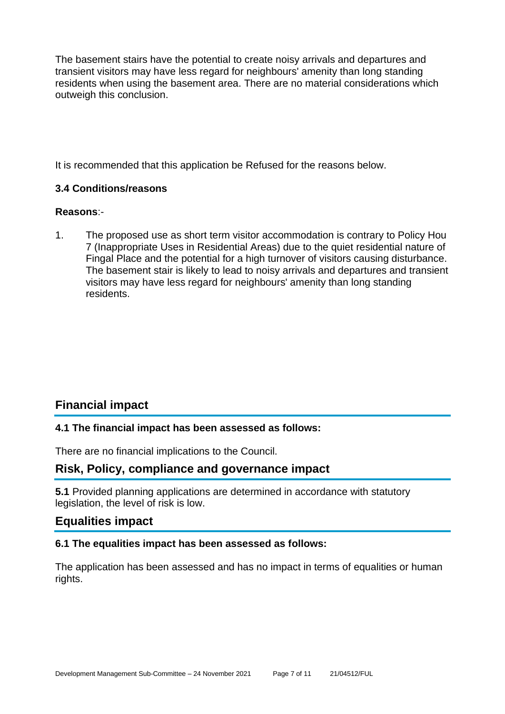The basement stairs have the potential to create noisy arrivals and departures and transient visitors may have less regard for neighbours' amenity than long standing residents when using the basement area. There are no material considerations which outweigh this conclusion.

It is recommended that this application be Refused for the reasons below.

#### **3.4 Conditions/reasons**

#### **Reasons**:-

1. The proposed use as short term visitor accommodation is contrary to Policy Hou 7 (Inappropriate Uses in Residential Areas) due to the quiet residential nature of Fingal Place and the potential for a high turnover of visitors causing disturbance. The basement stair is likely to lead to noisy arrivals and departures and transient visitors may have less regard for neighbours' amenity than long standing residents.

# **Financial impact**

#### **4.1 The financial impact has been assessed as follows:**

There are no financial implications to the Council.

## **Risk, Policy, compliance and governance impact**

**5.1** Provided planning applications are determined in accordance with statutory legislation, the level of risk is low.

#### **Equalities impact**

#### **6.1 The equalities impact has been assessed as follows:**

The application has been assessed and has no impact in terms of equalities or human rights.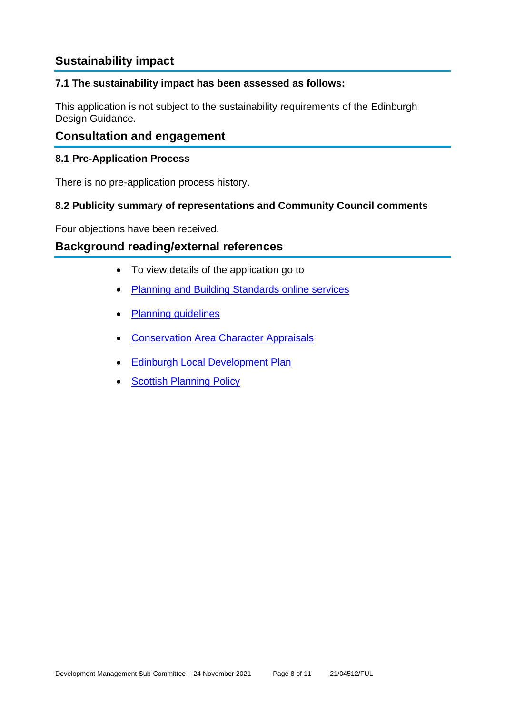# **Sustainability impact**

#### **7.1 The sustainability impact has been assessed as follows:**

This application is not subject to the sustainability requirements of the Edinburgh Design Guidance.

#### **Consultation and engagement**

#### **8.1 Pre-Application Process**

There is no pre-application process history.

#### **8.2 Publicity summary of representations and Community Council comments**

Four objections have been received.

#### **Background reading/external references**

- To view details of the application go to
- [Planning and Building Standards online services](https://citydev-portal.edinburgh.gov.uk/idoxpa-web/search.do?action=simple&searchType=Application)
- [Planning guidelines](http://www.edinburgh.gov.uk/planningguidelines)
- [Conservation Area Character Appraisals](http://www.edinburgh.gov.uk/characterappraisals)
- **[Edinburgh Local Development Plan](http://www.edinburgh.gov.uk/localdevelopmentplan)**
- **[Scottish Planning Policy](http://www.scotland.gov.uk/Topics/Built-Environment/planning/Policy)**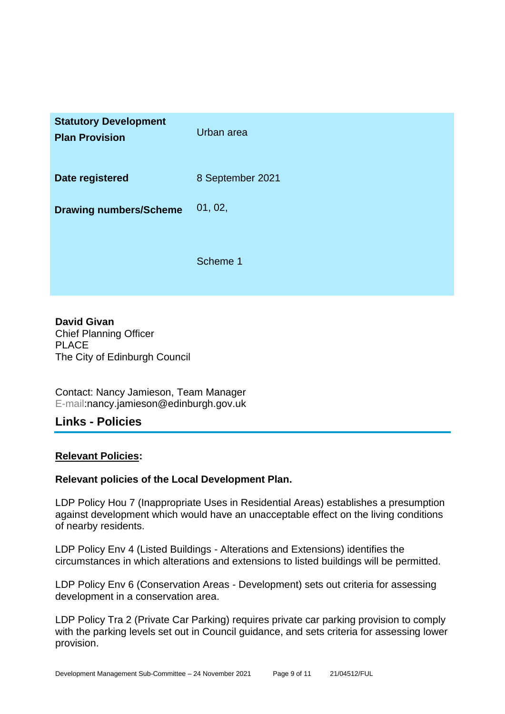| <b>Statutory Development</b><br><b>Plan Provision</b> | Urban area       |
|-------------------------------------------------------|------------------|
| Date registered                                       | 8 September 2021 |
| <b>Drawing numbers/Scheme</b>                         | 01, 02,          |
|                                                       | Scheme 1         |

**David Givan** Chief Planning Officer PLACE The City of Edinburgh Council

Contact: Nancy Jamieson, Team Manager E-mail:nancy.jamieson@edinburgh.gov.uk

#### **Links - Policies**

#### **Relevant Policies:**

#### **Relevant policies of the Local Development Plan.**

LDP Policy Hou 7 (Inappropriate Uses in Residential Areas) establishes a presumption against development which would have an unacceptable effect on the living conditions of nearby residents.

LDP Policy Env 4 (Listed Buildings - Alterations and Extensions) identifies the circumstances in which alterations and extensions to listed buildings will be permitted.

LDP Policy Env 6 (Conservation Areas - Development) sets out criteria for assessing development in a conservation area.

LDP Policy Tra 2 (Private Car Parking) requires private car parking provision to comply with the parking levels set out in Council guidance, and sets criteria for assessing lower provision.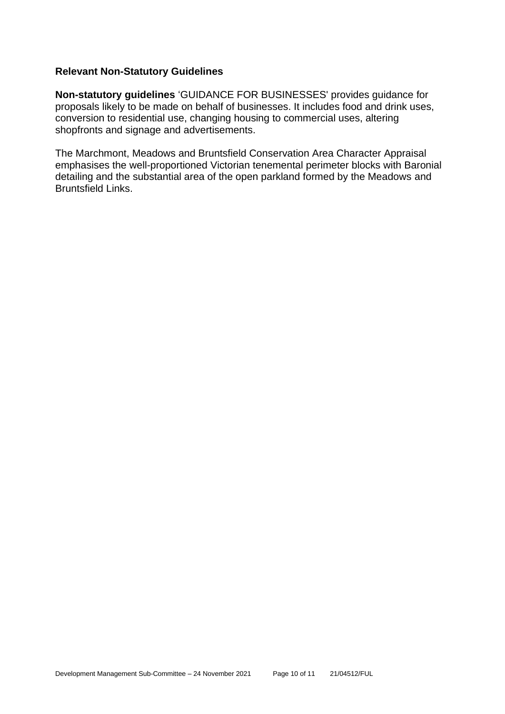#### **Relevant Non-Statutory Guidelines**

**Non-statutory guidelines** 'GUIDANCE FOR BUSINESSES' provides guidance for proposals likely to be made on behalf of businesses. It includes food and drink uses, conversion to residential use, changing housing to commercial uses, altering shopfronts and signage and advertisements.

The Marchmont, Meadows and Bruntsfield Conservation Area Character Appraisal emphasises the well-proportioned Victorian tenemental perimeter blocks with Baronial detailing and the substantial area of the open parkland formed by the Meadows and Bruntsfield Links.